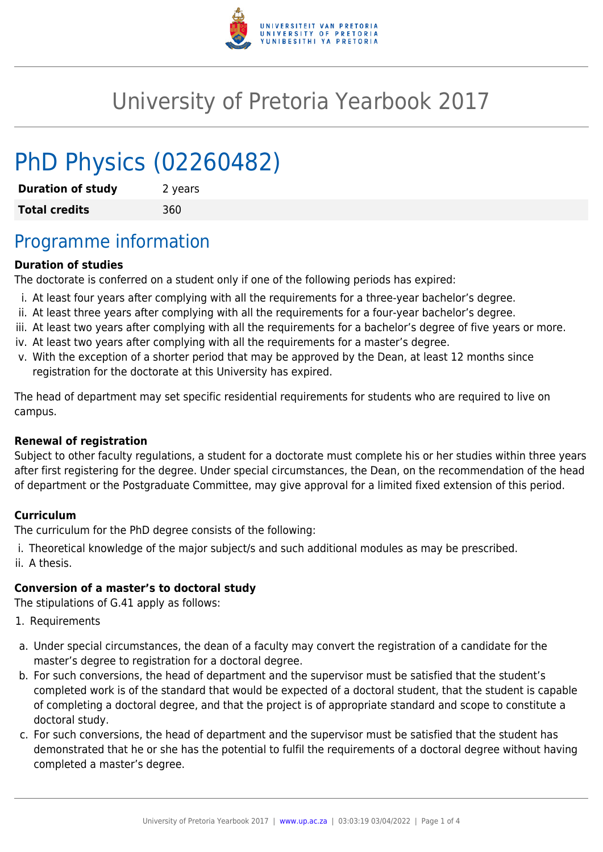

# University of Pretoria Yearbook 2017

# PhD Physics (02260482)

**Duration of study** 2 years **Total credits** 360

## Programme information

#### **Duration of studies**

The doctorate is conferred on a student only if one of the following periods has expired:

- i. At least four years after complying with all the requirements for a three-year bachelor's degree.
- ii. At least three years after complying with all the requirements for a four-year bachelor's degree.
- iii. At least two years after complying with all the requirements for a bachelor's degree of five years or more.
- iv. At least two years after complying with all the requirements for a master's degree.
- v. With the exception of a shorter period that may be approved by the Dean, at least 12 months since registration for the doctorate at this University has expired.

The head of department may set specific residential requirements for students who are required to live on campus.

#### **Renewal of registration**

Subject to other faculty regulations, a student for a doctorate must complete his or her studies within three years after first registering for the degree. Under special circumstances, the Dean, on the recommendation of the head of department or the Postgraduate Committee, may give approval for a limited fixed extension of this period.

#### **Curriculum**

The curriculum for the PhD degree consists of the following:

i. Theoretical knowledge of the major subject/s and such additional modules as may be prescribed. ii. A thesis.

#### **Conversion of a master's to doctoral study**

The stipulations of G.41 apply as follows:

- 1. Requirements
- a. Under special circumstances, the dean of a faculty may convert the registration of a candidate for the master's degree to registration for a doctoral degree.
- b. For such conversions, the head of department and the supervisor must be satisfied that the student's completed work is of the standard that would be expected of a doctoral student, that the student is capable of completing a doctoral degree, and that the project is of appropriate standard and scope to constitute a doctoral study.
- c. For such conversions, the head of department and the supervisor must be satisfied that the student has demonstrated that he or she has the potential to fulfil the requirements of a doctoral degree without having completed a master's degree.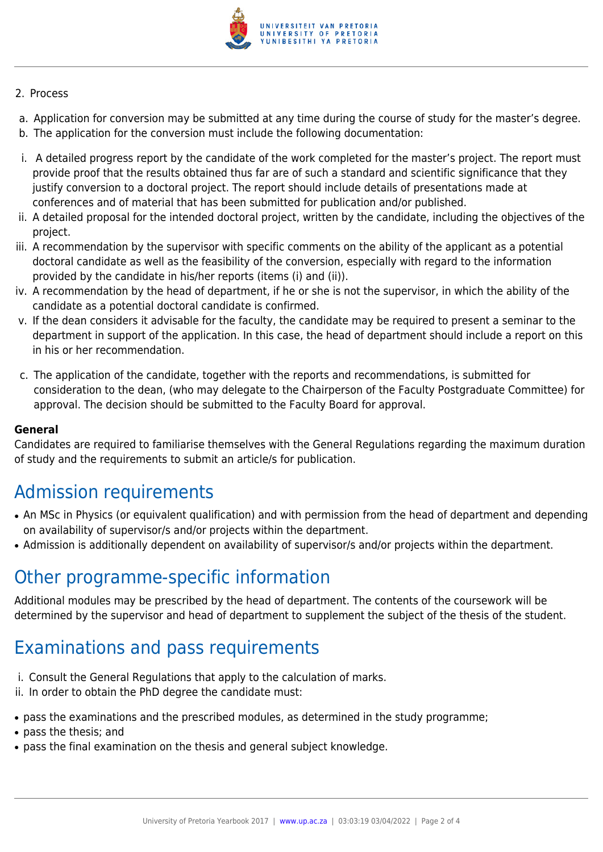

#### 2. Process

- a. Application for conversion may be submitted at any time during the course of study for the master's degree.
- b. The application for the conversion must include the following documentation:
- i. A detailed progress report by the candidate of the work completed for the master's project. The report must provide proof that the results obtained thus far are of such a standard and scientific significance that they justify conversion to a doctoral project. The report should include details of presentations made at conferences and of material that has been submitted for publication and/or published.
- ii. A detailed proposal for the intended doctoral project, written by the candidate, including the objectives of the project.
- iii. A recommendation by the supervisor with specific comments on the ability of the applicant as a potential doctoral candidate as well as the feasibility of the conversion, especially with regard to the information provided by the candidate in his/her reports (items (i) and (ii)).
- iv. A recommendation by the head of department, if he or she is not the supervisor, in which the ability of the candidate as a potential doctoral candidate is confirmed.
- v. If the dean considers it advisable for the faculty, the candidate may be required to present a seminar to the department in support of the application. In this case, the head of department should include a report on this in his or her recommendation.
- c. The application of the candidate, together with the reports and recommendations, is submitted for consideration to the dean, (who may delegate to the Chairperson of the Faculty Postgraduate Committee) for approval. The decision should be submitted to the Faculty Board for approval.

#### **General**

Candidates are required to familiarise themselves with the General Regulations regarding the maximum duration of study and the requirements to submit an article/s for publication.

## Admission requirements

- An MSc in Physics (or equivalent qualification) and with permission from the head of department and depending on availability of supervisor/s and/or projects within the department.
- Admission is additionally dependent on availability of supervisor/s and/or projects within the department.

### Other programme-specific information

Additional modules may be prescribed by the head of department. The contents of the coursework will be determined by the supervisor and head of department to supplement the subject of the thesis of the student.

## Examinations and pass requirements

- i. Consult the General Regulations that apply to the calculation of marks.
- ii. In order to obtain the PhD degree the candidate must:
- pass the examinations and the prescribed modules, as determined in the study programme;
- pass the thesis; and
- pass the final examination on the thesis and general subject knowledge.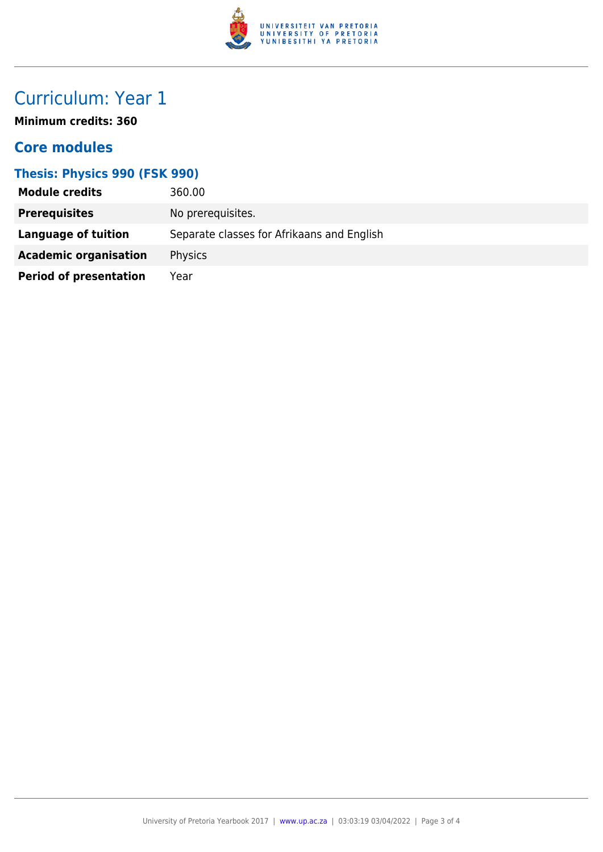

# Curriculum: Year 1

**Minimum credits: 360**

### **Core modules**

### **Thesis: Physics 990 (FSK 990)**

| <b>Module credits</b>         | 360.00                                     |
|-------------------------------|--------------------------------------------|
| <b>Prerequisites</b>          | No prerequisites.                          |
| Language of tuition           | Separate classes for Afrikaans and English |
| <b>Academic organisation</b>  | <b>Physics</b>                             |
| <b>Period of presentation</b> | Year                                       |